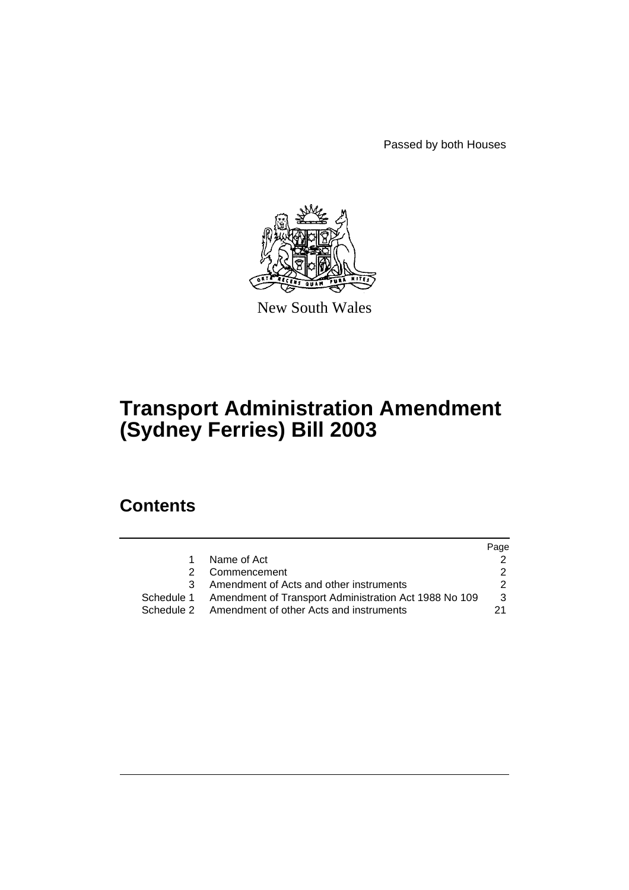Passed by both Houses



New South Wales

# **Transport Administration Amendment (Sydney Ferries) Bill 2003**

# **Contents**

|    |                                                                  | Page |
|----|------------------------------------------------------------------|------|
| 1. | Name of Act                                                      |      |
|    | 2 Commencement                                                   |      |
| 3  | Amendment of Acts and other instruments                          |      |
|    | Schedule 1 Amendment of Transport Administration Act 1988 No 109 | 3    |
|    | Schedule 2 Amendment of other Acts and instruments               | 21   |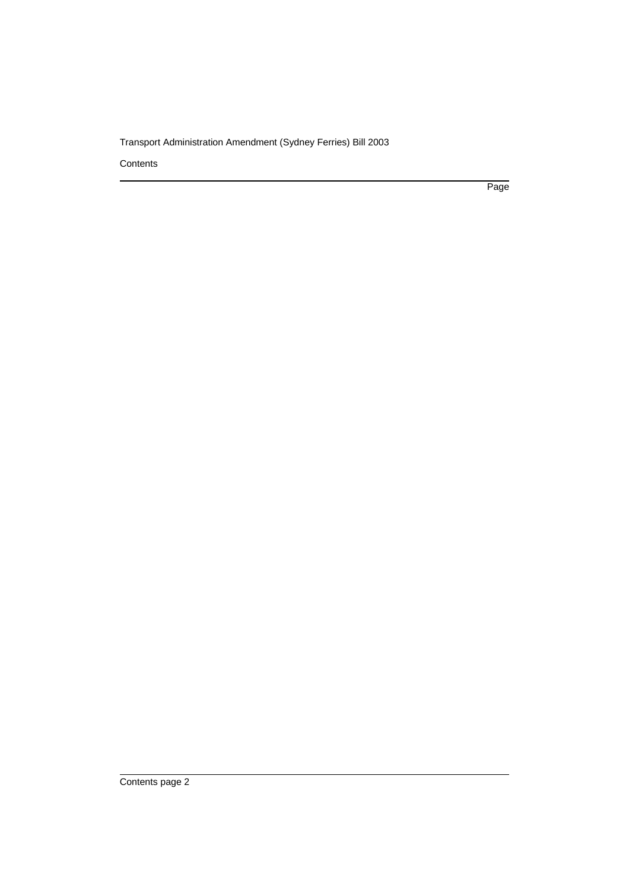**Contents** 

Page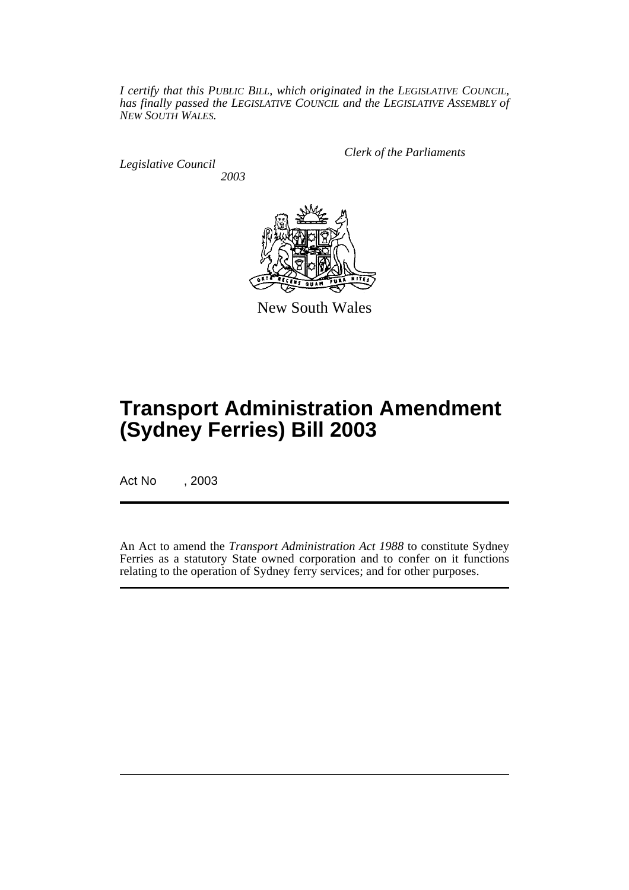*I certify that this PUBLIC BILL, which originated in the LEGISLATIVE COUNCIL, has finally passed the LEGISLATIVE COUNCIL and the LEGISLATIVE ASSEMBLY of NEW SOUTH WALES.*

*Legislative Council 2003* *Clerk of the Parliaments*



New South Wales

# **Transport Administration Amendment (Sydney Ferries) Bill 2003**

Act No , 2003

An Act to amend the *Transport Administration Act 1988* to constitute Sydney Ferries as a statutory State owned corporation and to confer on it functions relating to the operation of Sydney ferry services; and for other purposes.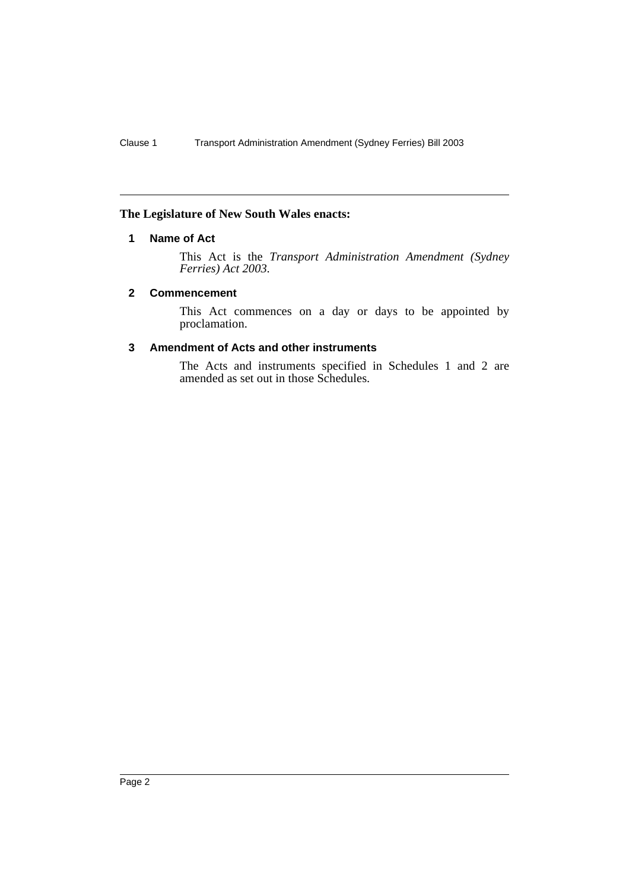## **The Legislature of New South Wales enacts:**

## **1 Name of Act**

This Act is the *Transport Administration Amendment (Sydney Ferries) Act 2003*.

#### **2 Commencement**

This Act commences on a day or days to be appointed by proclamation.

## **3 Amendment of Acts and other instruments**

The Acts and instruments specified in Schedules 1 and 2 are amended as set out in those Schedules.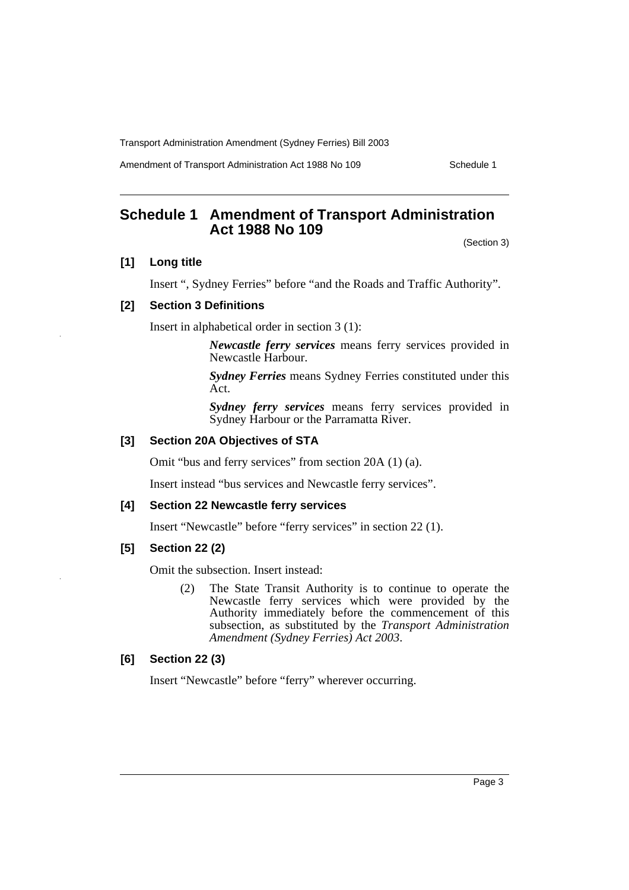Amendment of Transport Administration Act 1988 No 109 Schedule 1

## **Schedule 1 Amendment of Transport Administration Act 1988 No 109**

(Section 3)

## **[1] Long title**

Insert ", Sydney Ferries" before "and the Roads and Traffic Authority".

#### **[2] Section 3 Definitions**

Insert in alphabetical order in section 3 (1):

*Newcastle ferry services* means ferry services provided in Newcastle Harbour.

*Sydney Ferries* means Sydney Ferries constituted under this Act.

*Sydney ferry services* means ferry services provided in Sydney Harbour or the Parramatta River.

## **[3] Section 20A Objectives of STA**

Omit "bus and ferry services" from section 20A (1) (a).

Insert instead "bus services and Newcastle ferry services".

## **[4] Section 22 Newcastle ferry services**

Insert "Newcastle" before "ferry services" in section 22 (1).

## **[5] Section 22 (2)**

Omit the subsection. Insert instead:

(2) The State Transit Authority is to continue to operate the Newcastle ferry services which were provided by the Authority immediately before the commencement of this subsection, as substituted by the *Transport Administration Amendment (Sydney Ferries) Act 2003*.

## **[6] Section 22 (3)**

Insert "Newcastle" before "ferry" wherever occurring.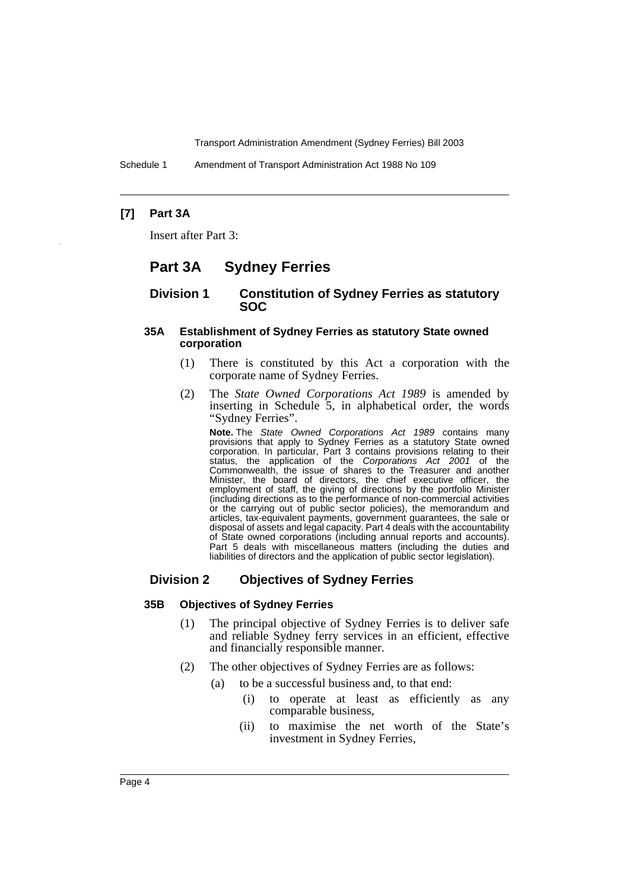Schedule 1 Amendment of Transport Administration Act 1988 No 109

## **[7] Part 3A**

Insert after Part 3:

## **Part 3A Sydney Ferries**

#### **Division 1 Constitution of Sydney Ferries as statutory SOC**

#### **35A Establishment of Sydney Ferries as statutory State owned corporation**

- (1) There is constituted by this Act a corporation with the corporate name of Sydney Ferries.
- (2) The *State Owned Corporations Act 1989* is amended by inserting in Schedule 5, in alphabetical order, the words "Sydney Ferries".

**Note.** The State Owned Corporations Act 1989 contains many provisions that apply to Sydney Ferries as a statutory State owned corporation. In particular, Part 3 contains provisions relating to their status, the application of the Corporations Act 2001 of the Commonwealth, the issue of shares to the Treasurer and another Minister, the board of directors, the chief executive officer, the employment of staff, the giving of directions by the portfolio Minister (including directions as to the performance of non-commercial activities or the carrying out of public sector policies), the memorandum and articles, tax-equivalent payments, government guarantees, the sale or disposal of assets and legal capacity. Part 4 deals with the accountability of State owned corporations (including annual reports and accounts). Part 5 deals with miscellaneous matters (including the duties and liabilities of directors and the application of public sector legislation).

## **Division 2 Objectives of Sydney Ferries**

#### **35B Objectives of Sydney Ferries**

- (1) The principal objective of Sydney Ferries is to deliver safe and reliable Sydney ferry services in an efficient, effective and financially responsible manner.
- (2) The other objectives of Sydney Ferries are as follows:
	- (a) to be a successful business and, to that end:
		- (i) to operate at least as efficiently as any comparable business,
		- (ii) to maximise the net worth of the State's investment in Sydney Ferries,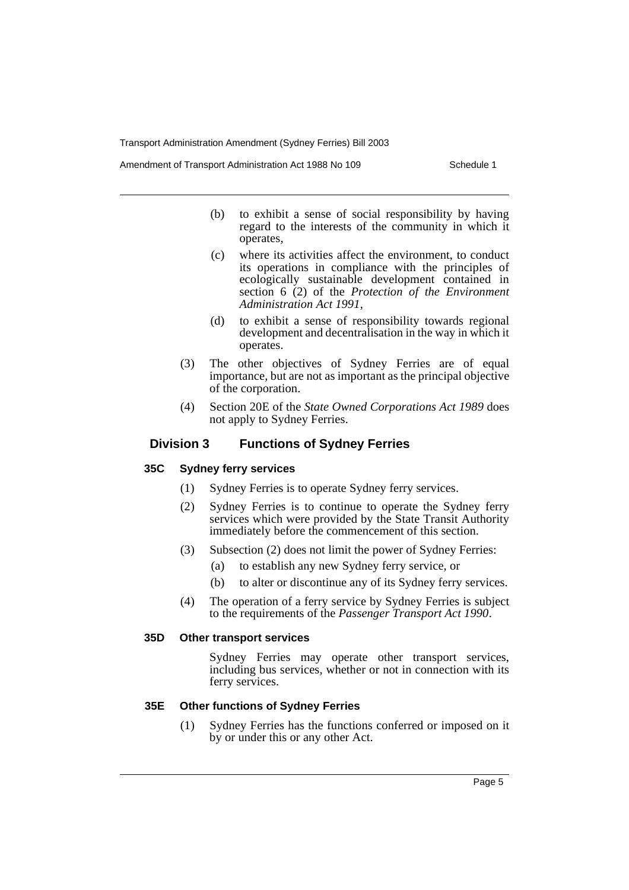Amendment of Transport Administration Act 1988 No 109 Schedule 1

- (b) to exhibit a sense of social responsibility by having regard to the interests of the community in which it operates,
- (c) where its activities affect the environment, to conduct its operations in compliance with the principles of ecologically sustainable development contained in section 6 (2) of the *Protection of the Environment Administration Act 1991*,
- (d) to exhibit a sense of responsibility towards regional development and decentralisation in the way in which it operates.
- (3) The other objectives of Sydney Ferries are of equal importance, but are not as important as the principal objective of the corporation.
- (4) Section 20E of the *State Owned Corporations Act 1989* does not apply to Sydney Ferries.

## **Division 3 Functions of Sydney Ferries**

## **35C Sydney ferry services**

- (1) Sydney Ferries is to operate Sydney ferry services.
- (2) Sydney Ferries is to continue to operate the Sydney ferry services which were provided by the State Transit Authority immediately before the commencement of this section.
- (3) Subsection (2) does not limit the power of Sydney Ferries:
	- (a) to establish any new Sydney ferry service, or
	- (b) to alter or discontinue any of its Sydney ferry services.
- (4) The operation of a ferry service by Sydney Ferries is subject to the requirements of the *Passenger Transport Act 1990*.

#### **35D Other transport services**

Sydney Ferries may operate other transport services, including bus services, whether or not in connection with its ferry services.

#### **35E Other functions of Sydney Ferries**

(1) Sydney Ferries has the functions conferred or imposed on it by or under this or any other Act.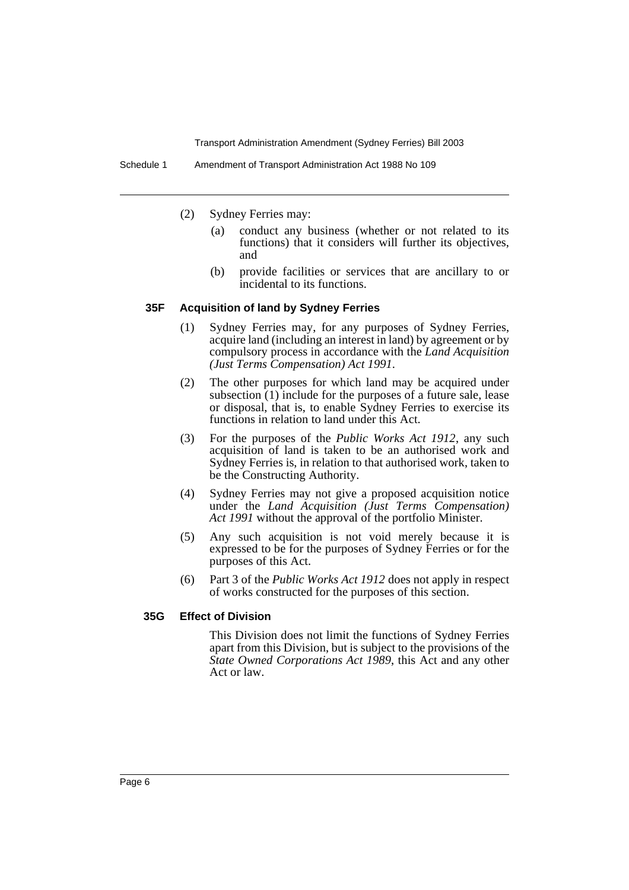(2) Sydney Ferries may:

- (a) conduct any business (whether or not related to its functions) that it considers will further its objectives, and
- (b) provide facilities or services that are ancillary to or incidental to its functions.

#### **35F Acquisition of land by Sydney Ferries**

- (1) Sydney Ferries may, for any purposes of Sydney Ferries, acquire land (including an interest in land) by agreement or by compulsory process in accordance with the *Land Acquisition (Just Terms Compensation) Act 1991*.
- (2) The other purposes for which land may be acquired under subsection  $(1)$  include for the purposes of a future sale, lease or disposal, that is, to enable Sydney Ferries to exercise its functions in relation to land under this Act.
- (3) For the purposes of the *Public Works Act 1912*, any such acquisition of land is taken to be an authorised work and Sydney Ferries is, in relation to that authorised work, taken to be the Constructing Authority.
- (4) Sydney Ferries may not give a proposed acquisition notice under the *Land Acquisition (Just Terms Compensation) Act 1991* without the approval of the portfolio Minister.
- (5) Any such acquisition is not void merely because it is expressed to be for the purposes of Sydney Ferries or for the purposes of this Act.
- (6) Part 3 of the *Public Works Act 1912* does not apply in respect of works constructed for the purposes of this section.

#### **35G Effect of Division**

This Division does not limit the functions of Sydney Ferries apart from this Division, but is subject to the provisions of the *State Owned Corporations Act 1989*, this Act and any other Act or law.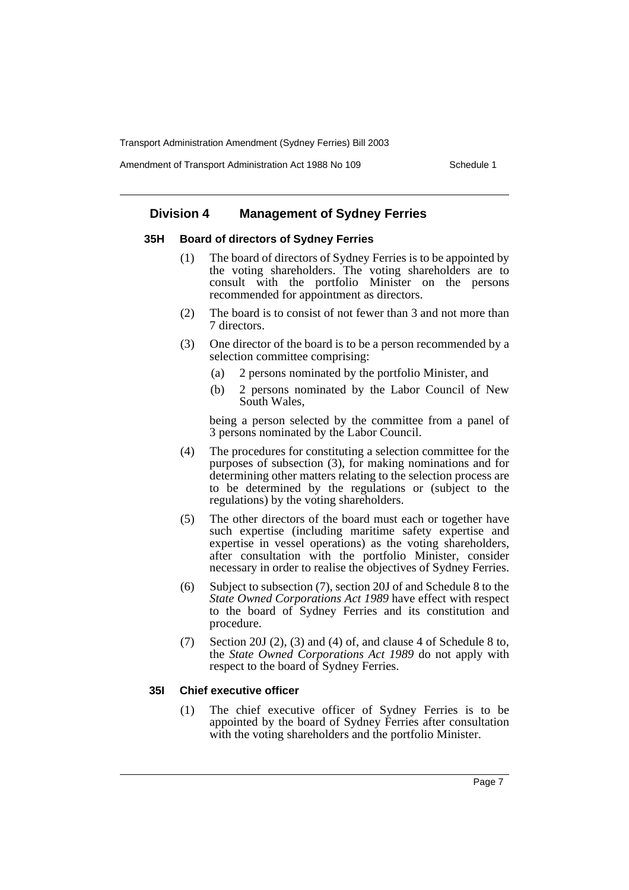Amendment of Transport Administration Act 1988 No 109 Schedule 1

## **Division 4 Management of Sydney Ferries**

#### **35H Board of directors of Sydney Ferries**

- (1) The board of directors of Sydney Ferries is to be appointed by the voting shareholders. The voting shareholders are to consult with the portfolio Minister on the persons recommended for appointment as directors.
- (2) The board is to consist of not fewer than 3 and not more than 7 directors.
- (3) One director of the board is to be a person recommended by a selection committee comprising:
	- (a) 2 persons nominated by the portfolio Minister, and
	- (b) 2 persons nominated by the Labor Council of New South Wales,

being a person selected by the committee from a panel of 3 persons nominated by the Labor Council.

- (4) The procedures for constituting a selection committee for the purposes of subsection (3), for making nominations and for determining other matters relating to the selection process are to be determined by the regulations or (subject to the regulations) by the voting shareholders.
- (5) The other directors of the board must each or together have such expertise (including maritime safety expertise and expertise in vessel operations) as the voting shareholders, after consultation with the portfolio Minister, consider necessary in order to realise the objectives of Sydney Ferries.
- (6) Subject to subsection (7), section 20J of and Schedule 8 to the *State Owned Corporations Act 1989* have effect with respect to the board of Sydney Ferries and its constitution and procedure.
- (7) Section 20J (2), (3) and (4) of, and clause 4 of Schedule 8 to, the *State Owned Corporations Act 1989* do not apply with respect to the board of Sydney Ferries.

#### **35I Chief executive officer**

(1) The chief executive officer of Sydney Ferries is to be appointed by the board of Sydney Ferries after consultation with the voting shareholders and the portfolio Minister.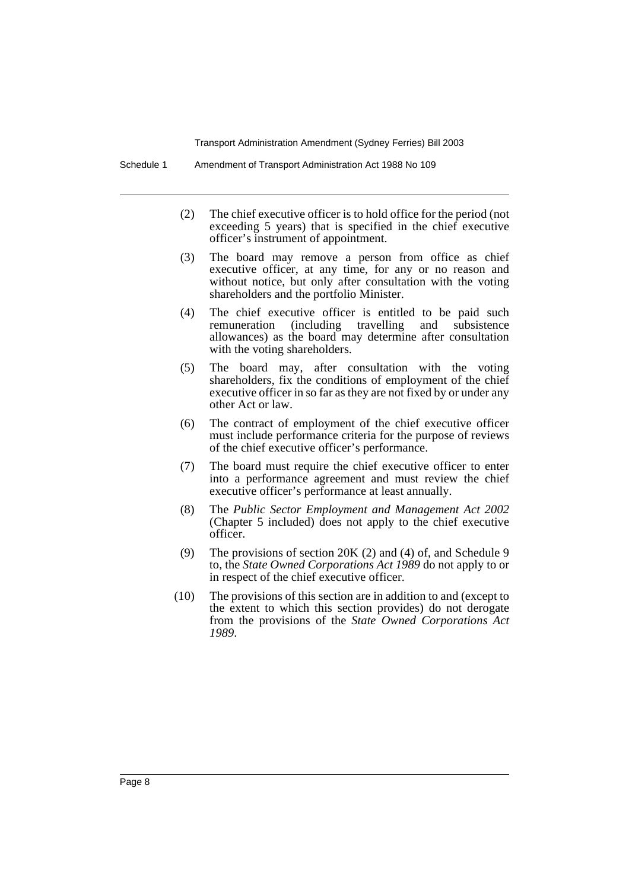- (2) The chief executive officer is to hold office for the period (not exceeding 5 years) that is specified in the chief executive officer's instrument of appointment.
- (3) The board may remove a person from office as chief executive officer, at any time, for any or no reason and without notice, but only after consultation with the voting shareholders and the portfolio Minister.
- (4) The chief executive officer is entitled to be paid such remuneration (including travelling and subsistence allowances) as the board may determine after consultation with the voting shareholders.
- (5) The board may, after consultation with the voting shareholders, fix the conditions of employment of the chief executive officer in so far as they are not fixed by or under any other Act or law.
- (6) The contract of employment of the chief executive officer must include performance criteria for the purpose of reviews of the chief executive officer's performance.
- (7) The board must require the chief executive officer to enter into a performance agreement and must review the chief executive officer's performance at least annually.
- (8) The *Public Sector Employment and Management Act 2002* (Chapter 5 included) does not apply to the chief executive officer.
- (9) The provisions of section 20K (2) and (4) of, and Schedule 9 to, the *State Owned Corporations Act 1989* do not apply to or in respect of the chief executive officer.
- (10) The provisions of this section are in addition to and (except to the extent to which this section provides) do not derogate from the provisions of the *State Owned Corporations Act 1989*.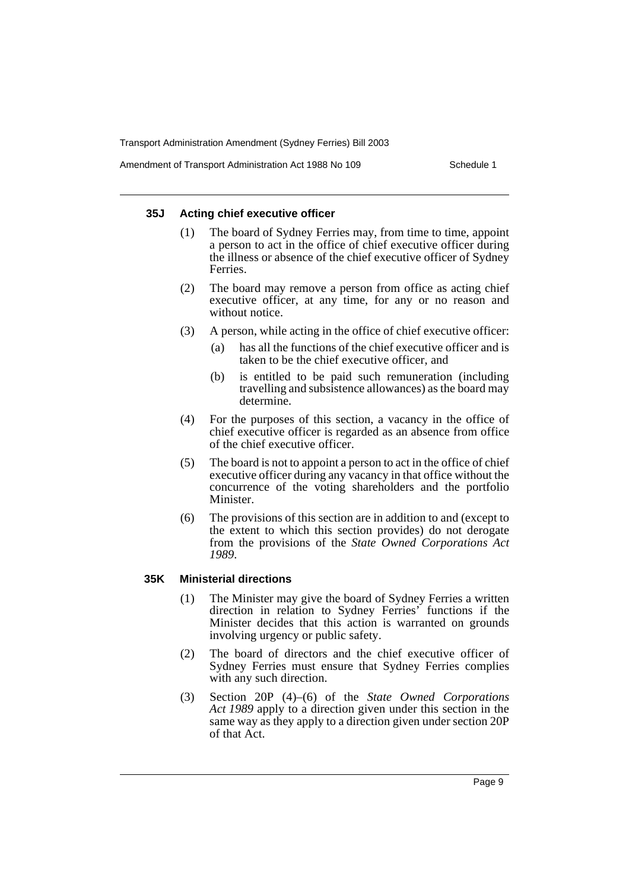Amendment of Transport Administration Act 1988 No 109 Schedule 1

## **35J Acting chief executive officer**

- (1) The board of Sydney Ferries may, from time to time, appoint a person to act in the office of chief executive officer during the illness or absence of the chief executive officer of Sydney Ferries.
- (2) The board may remove a person from office as acting chief executive officer, at any time, for any or no reason and without notice.
- (3) A person, while acting in the office of chief executive officer:
	- (a) has all the functions of the chief executive officer and is taken to be the chief executive officer, and
	- (b) is entitled to be paid such remuneration (including travelling and subsistence allowances) as the board may determine.
- (4) For the purposes of this section, a vacancy in the office of chief executive officer is regarded as an absence from office of the chief executive officer.
- (5) The board is not to appoint a person to act in the office of chief executive officer during any vacancy in that office without the concurrence of the voting shareholders and the portfolio Minister.
- (6) The provisions of this section are in addition to and (except to the extent to which this section provides) do not derogate from the provisions of the *State Owned Corporations Act 1989*.

## **35K Ministerial directions**

- (1) The Minister may give the board of Sydney Ferries a written direction in relation to Sydney Ferries' functions if the Minister decides that this action is warranted on grounds involving urgency or public safety.
- (2) The board of directors and the chief executive officer of Sydney Ferries must ensure that Sydney Ferries complies with any such direction.
- (3) Section 20P (4)–(6) of the *State Owned Corporations Act 1989* apply to a direction given under this section in the same way as they apply to a direction given under section 20P of that Act.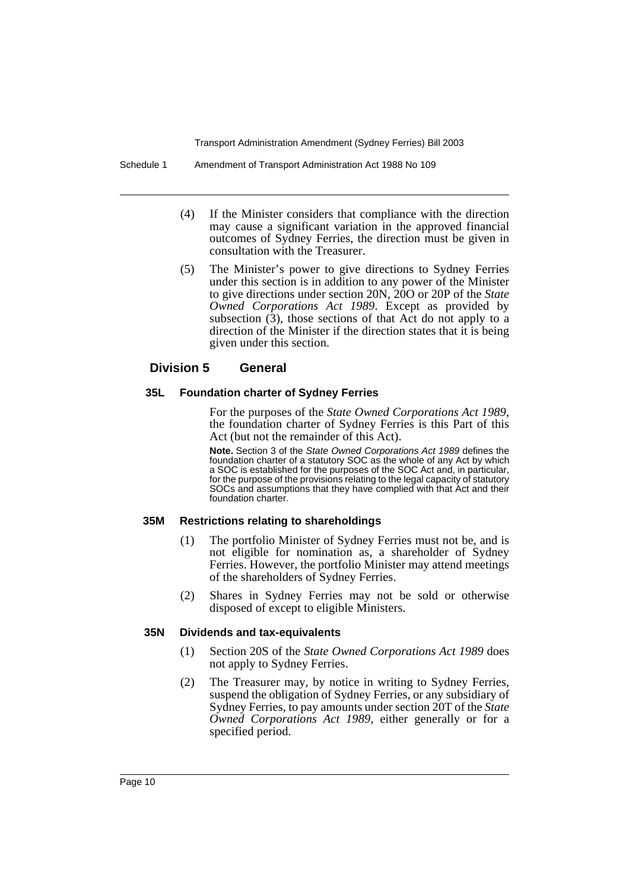Schedule 1 Amendment of Transport Administration Act 1988 No 109

- (4) If the Minister considers that compliance with the direction may cause a significant variation in the approved financial outcomes of Sydney Ferries, the direction must be given in consultation with the Treasurer.
- (5) The Minister's power to give directions to Sydney Ferries under this section is in addition to any power of the Minister to give directions under section 20N, 20O or 20P of the *State Owned Corporations Act 1989*. Except as provided by subsection  $(3)$ , those sections of that Act do not apply to a direction of the Minister if the direction states that it is being given under this section.

## **Division 5 General**

## **35L Foundation charter of Sydney Ferries**

For the purposes of the *State Owned Corporations Act 1989*, the foundation charter of Sydney Ferries is this Part of this Act (but not the remainder of this Act).

**Note.** Section 3 of the State Owned Corporations Act 1989 defines the foundation charter of a statutory SOC as the whole of any Act by which a SOC is established for the purposes of the SOC Act and, in particular, for the purpose of the provisions relating to the legal capacity of statutory SOCs and assumptions that they have complied with that Act and their foundation charter.

#### **35M Restrictions relating to shareholdings**

- (1) The portfolio Minister of Sydney Ferries must not be, and is not eligible for nomination as, a shareholder of Sydney Ferries. However, the portfolio Minister may attend meetings of the shareholders of Sydney Ferries.
- (2) Shares in Sydney Ferries may not be sold or otherwise disposed of except to eligible Ministers.

#### **35N Dividends and tax-equivalents**

- (1) Section 20S of the *State Owned Corporations Act 1989* does not apply to Sydney Ferries.
- (2) The Treasurer may, by notice in writing to Sydney Ferries, suspend the obligation of Sydney Ferries, or any subsidiary of Sydney Ferries, to pay amounts under section 20T of the *State Owned Corporations Act 1989*, either generally or for a specified period.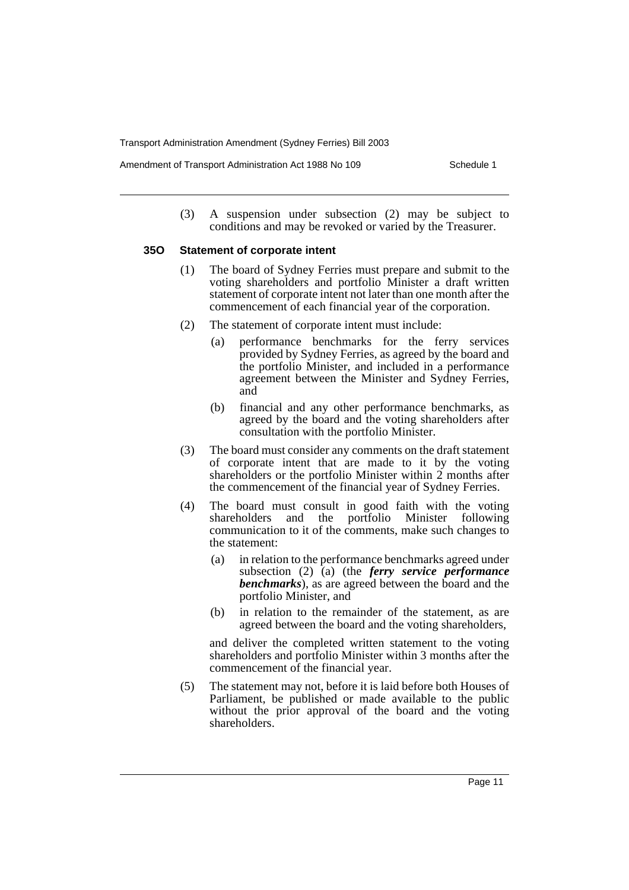Amendment of Transport Administration Act 1988 No 109 Schedule 1

(3) A suspension under subsection (2) may be subject to conditions and may be revoked or varied by the Treasurer.

#### **35O Statement of corporate intent**

- (1) The board of Sydney Ferries must prepare and submit to the voting shareholders and portfolio Minister a draft written statement of corporate intent not later than one month after the commencement of each financial year of the corporation.
- (2) The statement of corporate intent must include:
	- (a) performance benchmarks for the ferry services provided by Sydney Ferries, as agreed by the board and the portfolio Minister, and included in a performance agreement between the Minister and Sydney Ferries, and
	- (b) financial and any other performance benchmarks, as agreed by the board and the voting shareholders after consultation with the portfolio Minister.
- (3) The board must consider any comments on the draft statement of corporate intent that are made to it by the voting shareholders or the portfolio Minister within 2 months after the commencement of the financial year of Sydney Ferries.
- (4) The board must consult in good faith with the voting shareholders and the portfolio Minister following communication to it of the comments, make such changes to the statement:
	- (a) in relation to the performance benchmarks agreed under subsection (2) (a) (the *ferry service performance benchmarks*), as are agreed between the board and the portfolio Minister, and
	- (b) in relation to the remainder of the statement, as are agreed between the board and the voting shareholders,

and deliver the completed written statement to the voting shareholders and portfolio Minister within 3 months after the commencement of the financial year.

(5) The statement may not, before it is laid before both Houses of Parliament, be published or made available to the public without the prior approval of the board and the voting shareholders.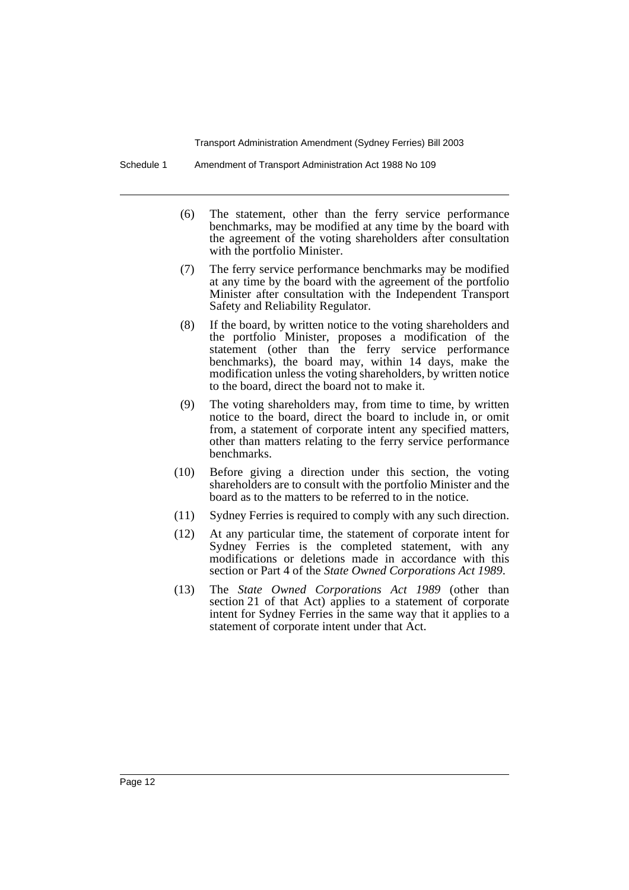Schedule 1 Amendment of Transport Administration Act 1988 No 109

- (6) The statement, other than the ferry service performance benchmarks, may be modified at any time by the board with the agreement of the voting shareholders after consultation with the portfolio Minister.
- (7) The ferry service performance benchmarks may be modified at any time by the board with the agreement of the portfolio Minister after consultation with the Independent Transport Safety and Reliability Regulator.
- (8) If the board, by written notice to the voting shareholders and the portfolio Minister, proposes a modification of the statement (other than the ferry service performance benchmarks), the board may, within 14 days, make the modification unless the voting shareholders, by written notice to the board, direct the board not to make it.
- (9) The voting shareholders may, from time to time, by written notice to the board, direct the board to include in, or omit from, a statement of corporate intent any specified matters, other than matters relating to the ferry service performance benchmarks.
- (10) Before giving a direction under this section, the voting shareholders are to consult with the portfolio Minister and the board as to the matters to be referred to in the notice.
- (11) Sydney Ferries is required to comply with any such direction.
- (12) At any particular time, the statement of corporate intent for Sydney Ferries is the completed statement, with any modifications or deletions made in accordance with this section or Part 4 of the *State Owned Corporations Act 1989*.
- (13) The *State Owned Corporations Act 1989* (other than section 21 of that Act) applies to a statement of corporate intent for Sydney Ferries in the same way that it applies to a statement of corporate intent under that Act.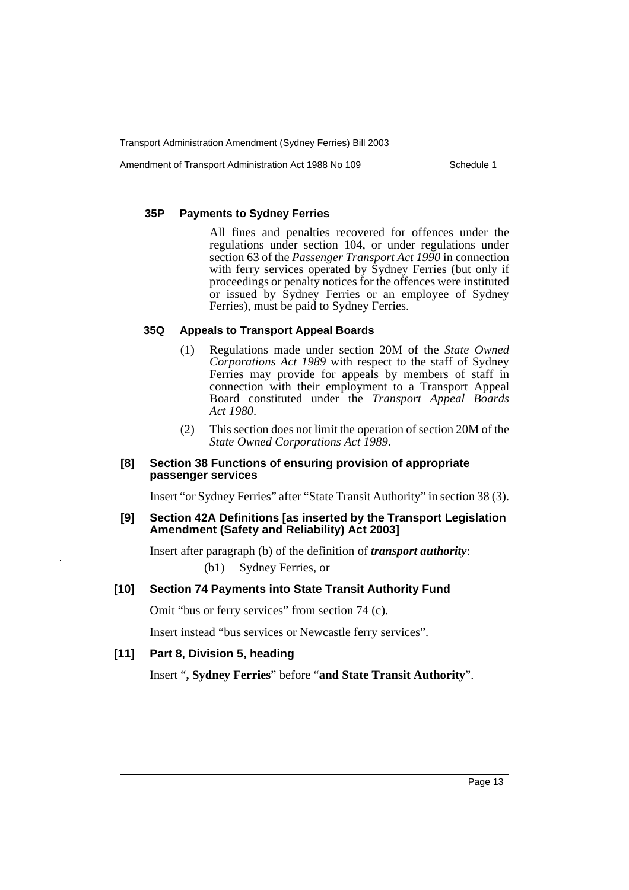Amendment of Transport Administration Act 1988 No 109 Schedule 1

#### **35P Payments to Sydney Ferries**

All fines and penalties recovered for offences under the regulations under section 104, or under regulations under section 63 of the *Passenger Transport Act 1990* in connection with ferry services operated by Sydney Ferries (but only if proceedings or penalty notices for the offences were instituted or issued by Sydney Ferries or an employee of Sydney Ferries), must be paid to Sydney Ferries.

#### **35Q Appeals to Transport Appeal Boards**

- (1) Regulations made under section 20M of the *State Owned Corporations Act 1989* with respect to the staff of Sydney Ferries may provide for appeals by members of staff in connection with their employment to a Transport Appeal Board constituted under the *Transport Appeal Boards Act 1980*.
- (2) This section does not limit the operation of section 20M of the *State Owned Corporations Act 1989*.

#### **[8] Section 38 Functions of ensuring provision of appropriate passenger services**

Insert "or Sydney Ferries" after "State Transit Authority" in section 38 (3).

#### **[9] Section 42A Definitions [as inserted by the Transport Legislation Amendment (Safety and Reliability) Act 2003]**

Insert after paragraph (b) of the definition of *transport authority*:

(b1) Sydney Ferries, or

## **[10] Section 74 Payments into State Transit Authority Fund**

Omit "bus or ferry services" from section 74 (c).

Insert instead "bus services or Newcastle ferry services".

## **[11] Part 8, Division 5, heading**

Insert "**, Sydney Ferries**" before "**and State Transit Authority**".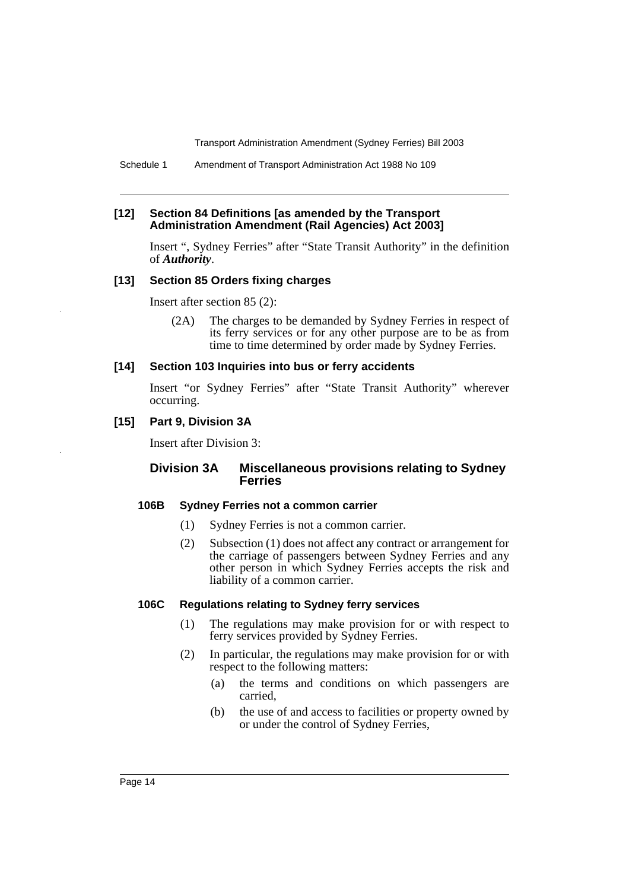Schedule 1 Amendment of Transport Administration Act 1988 No 109

#### **[12] Section 84 Definitions [as amended by the Transport Administration Amendment (Rail Agencies) Act 2003]**

Insert ", Sydney Ferries" after "State Transit Authority" in the definition of *Authority*.

#### **[13] Section 85 Orders fixing charges**

Insert after section 85 (2):

(2A) The charges to be demanded by Sydney Ferries in respect of its ferry services or for any other purpose are to be as from time to time determined by order made by Sydney Ferries.

#### **[14] Section 103 Inquiries into bus or ferry accidents**

Insert "or Sydney Ferries" after "State Transit Authority" wherever occurring.

#### **[15] Part 9, Division 3A**

Insert after Division 3:

## **Division 3A Miscellaneous provisions relating to Sydney Ferries**

#### **106B Sydney Ferries not a common carrier**

- (1) Sydney Ferries is not a common carrier.
- (2) Subsection (1) does not affect any contract or arrangement for the carriage of passengers between Sydney Ferries and any other person in which Sydney Ferries accepts the risk and liability of a common carrier.

#### **106C Regulations relating to Sydney ferry services**

- (1) The regulations may make provision for or with respect to ferry services provided by Sydney Ferries.
- (2) In particular, the regulations may make provision for or with respect to the following matters:
	- (a) the terms and conditions on which passengers are carried,
	- (b) the use of and access to facilities or property owned by or under the control of Sydney Ferries,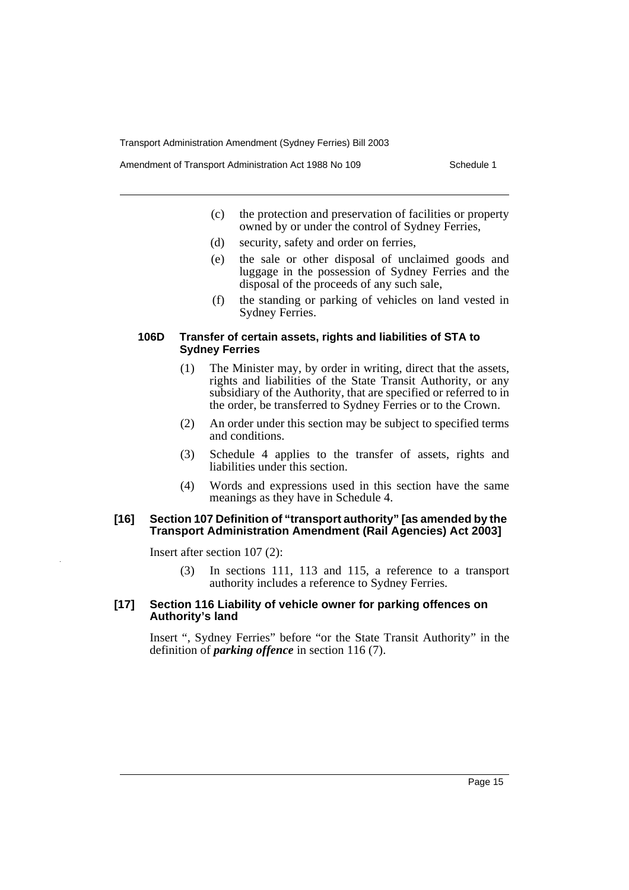Amendment of Transport Administration Act 1988 No 109 Schedule 1

- (c) the protection and preservation of facilities or property owned by or under the control of Sydney Ferries,
- (d) security, safety and order on ferries,
- (e) the sale or other disposal of unclaimed goods and luggage in the possession of Sydney Ferries and the disposal of the proceeds of any such sale,
- (f) the standing or parking of vehicles on land vested in Sydney Ferries.

#### **106D Transfer of certain assets, rights and liabilities of STA to Sydney Ferries**

- (1) The Minister may, by order in writing, direct that the assets, rights and liabilities of the State Transit Authority, or any subsidiary of the Authority, that are specified or referred to in the order, be transferred to Sydney Ferries or to the Crown.
- (2) An order under this section may be subject to specified terms and conditions.
- (3) Schedule 4 applies to the transfer of assets, rights and liabilities under this section.
- (4) Words and expressions used in this section have the same meanings as they have in Schedule 4.

#### **[16] Section 107 Definition of "transport authority" [as amended by the Transport Administration Amendment (Rail Agencies) Act 2003]**

Insert after section 107 (2):

(3) In sections 111, 113 and 115, a reference to a transport authority includes a reference to Sydney Ferries.

#### **[17] Section 116 Liability of vehicle owner for parking offences on Authority's land**

Insert ", Sydney Ferries" before "or the State Transit Authority" in the definition of *parking offence* in section 116 (7).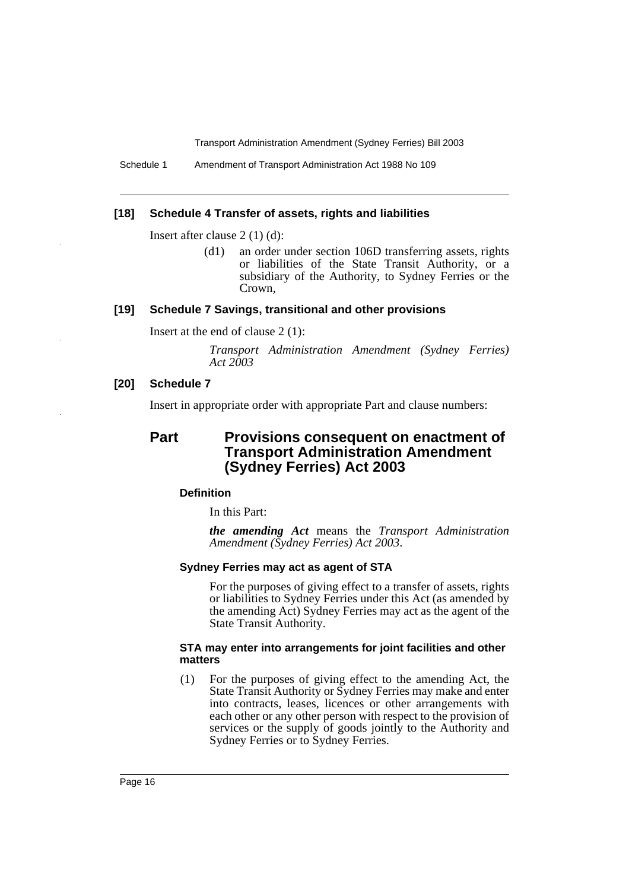Schedule 1 Amendment of Transport Administration Act 1988 No 109

#### **[18] Schedule 4 Transfer of assets, rights and liabilities**

Insert after clause 2 (1) (d):

(d1) an order under section 106D transferring assets, rights or liabilities of the State Transit Authority, or a subsidiary of the Authority, to Sydney Ferries or the Crown,

#### **[19] Schedule 7 Savings, transitional and other provisions**

Insert at the end of clause 2 (1):

*Transport Administration Amendment (Sydney Ferries) Act 2003*

## **[20] Schedule 7**

Insert in appropriate order with appropriate Part and clause numbers:

## **Part Provisions consequent on enactment of Transport Administration Amendment (Sydney Ferries) Act 2003**

#### **Definition**

In this Part:

*the amending Act* means the *Transport Administration Amendment (Sydney Ferries) Act 2003*.

#### **Sydney Ferries may act as agent of STA**

For the purposes of giving effect to a transfer of assets, rights or liabilities to Sydney Ferries under this Act (as amended by the amending Act) Sydney Ferries may act as the agent of the State Transit Authority.

#### **STA may enter into arrangements for joint facilities and other matters**

(1) For the purposes of giving effect to the amending Act, the State Transit Authority or Sydney Ferries may make and enter into contracts, leases, licences or other arrangements with each other or any other person with respect to the provision of services or the supply of goods jointly to the Authority and Sydney Ferries or to Sydney Ferries.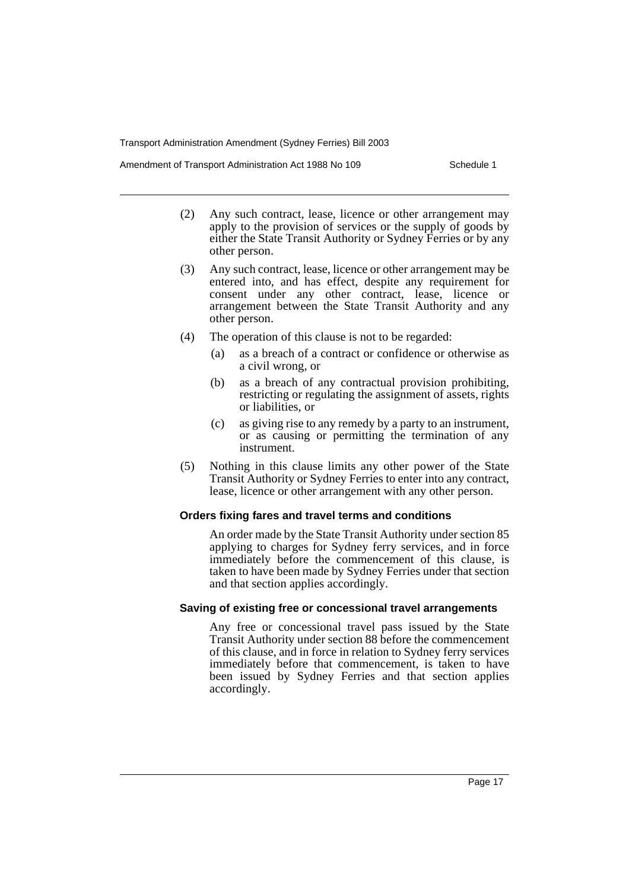Amendment of Transport Administration Act 1988 No 109 Schedule 1

- (2) Any such contract, lease, licence or other arrangement may apply to the provision of services or the supply of goods by either the State Transit Authority or Sydney Ferries or by any other person.
- (3) Any such contract, lease, licence or other arrangement may be entered into, and has effect, despite any requirement for consent under any other contract, lease, licence or arrangement between the State Transit Authority and any other person.
- (4) The operation of this clause is not to be regarded:
	- (a) as a breach of a contract or confidence or otherwise as a civil wrong, or
	- (b) as a breach of any contractual provision prohibiting, restricting or regulating the assignment of assets, rights or liabilities, or
	- (c) as giving rise to any remedy by a party to an instrument, or as causing or permitting the termination of any instrument.
- (5) Nothing in this clause limits any other power of the State Transit Authority or Sydney Ferries to enter into any contract, lease, licence or other arrangement with any other person.

#### **Orders fixing fares and travel terms and conditions**

An order made by the State Transit Authority under section 85 applying to charges for Sydney ferry services, and in force immediately before the commencement of this clause, is taken to have been made by Sydney Ferries under that section and that section applies accordingly.

#### **Saving of existing free or concessional travel arrangements**

Any free or concessional travel pass issued by the State Transit Authority under section 88 before the commencement of this clause, and in force in relation to Sydney ferry services immediately before that commencement, is taken to have been issued by Sydney Ferries and that section applies accordingly.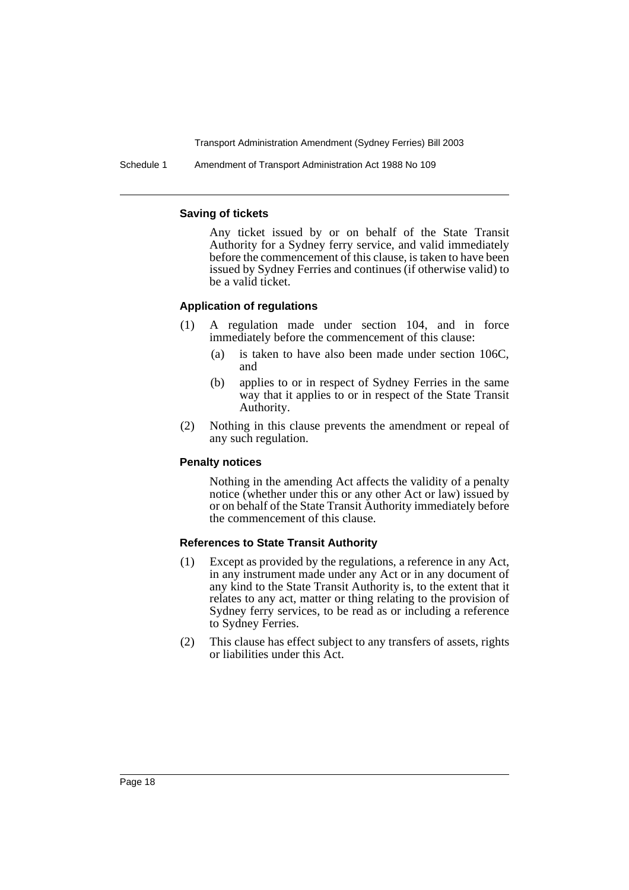Schedule 1 Amendment of Transport Administration Act 1988 No 109

#### **Saving of tickets**

Any ticket issued by or on behalf of the State Transit Authority for a Sydney ferry service, and valid immediately before the commencement of this clause, is taken to have been issued by Sydney Ferries and continues (if otherwise valid) to be a valid ticket.

## **Application of regulations**

- (1) A regulation made under section 104, and in force immediately before the commencement of this clause:
	- (a) is taken to have also been made under section 106C, and
	- (b) applies to or in respect of Sydney Ferries in the same way that it applies to or in respect of the State Transit Authority.
- (2) Nothing in this clause prevents the amendment or repeal of any such regulation.

## **Penalty notices**

Nothing in the amending Act affects the validity of a penalty notice (whether under this or any other Act or law) issued by or on behalf of the State Transit Authority immediately before the commencement of this clause.

## **References to State Transit Authority**

- (1) Except as provided by the regulations, a reference in any Act, in any instrument made under any Act or in any document of any kind to the State Transit Authority is, to the extent that it relates to any act, matter or thing relating to the provision of Sydney ferry services, to be read as or including a reference to Sydney Ferries.
- (2) This clause has effect subject to any transfers of assets, rights or liabilities under this Act.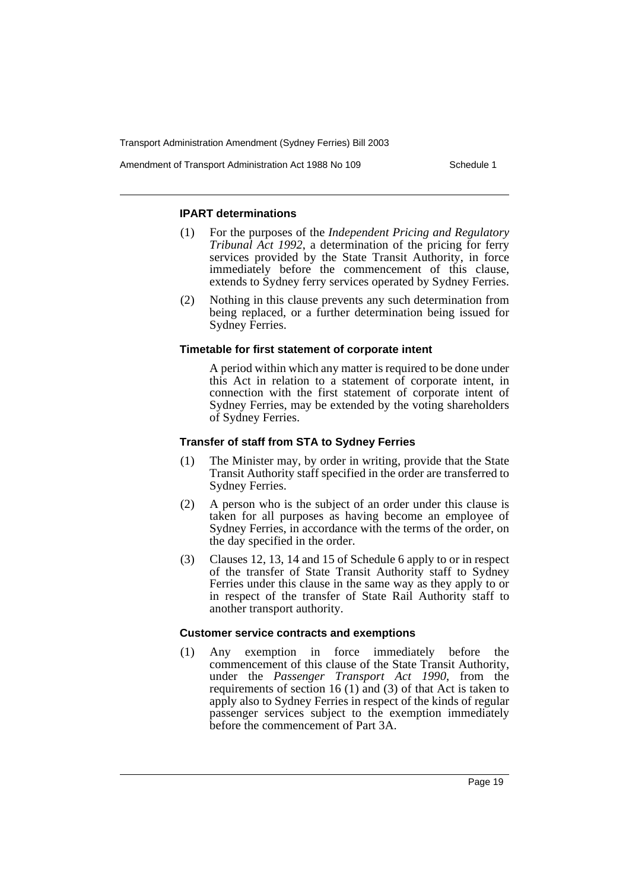Amendment of Transport Administration Act 1988 No 109 Schedule 1

#### **IPART determinations**

- (1) For the purposes of the *Independent Pricing and Regulatory Tribunal Act 1992*, a determination of the pricing for ferry services provided by the State Transit Authority, in force immediately before the commencement of this clause, extends to Sydney ferry services operated by Sydney Ferries.
- (2) Nothing in this clause prevents any such determination from being replaced, or a further determination being issued for Sydney Ferries.

## **Timetable for first statement of corporate intent**

A period within which any matter is required to be done under this Act in relation to a statement of corporate intent, in connection with the first statement of corporate intent of Sydney Ferries, may be extended by the voting shareholders of Sydney Ferries.

## **Transfer of staff from STA to Sydney Ferries**

- (1) The Minister may, by order in writing, provide that the State Transit Authority staff specified in the order are transferred to Sydney Ferries.
- (2) A person who is the subject of an order under this clause is taken for all purposes as having become an employee of Sydney Ferries, in accordance with the terms of the order, on the day specified in the order.
- (3) Clauses 12, 13, 14 and 15 of Schedule 6 apply to or in respect of the transfer of State Transit Authority staff to Sydney Ferries under this clause in the same way as they apply to or in respect of the transfer of State Rail Authority staff to another transport authority.

## **Customer service contracts and exemptions**

(1) Any exemption in force immediately before the commencement of this clause of the State Transit Authority, under the *Passenger Transport Act 1990*, from the requirements of section 16 (1) and (3) of that Act is taken to apply also to Sydney Ferries in respect of the kinds of regular passenger services subject to the exemption immediately before the commencement of Part 3A.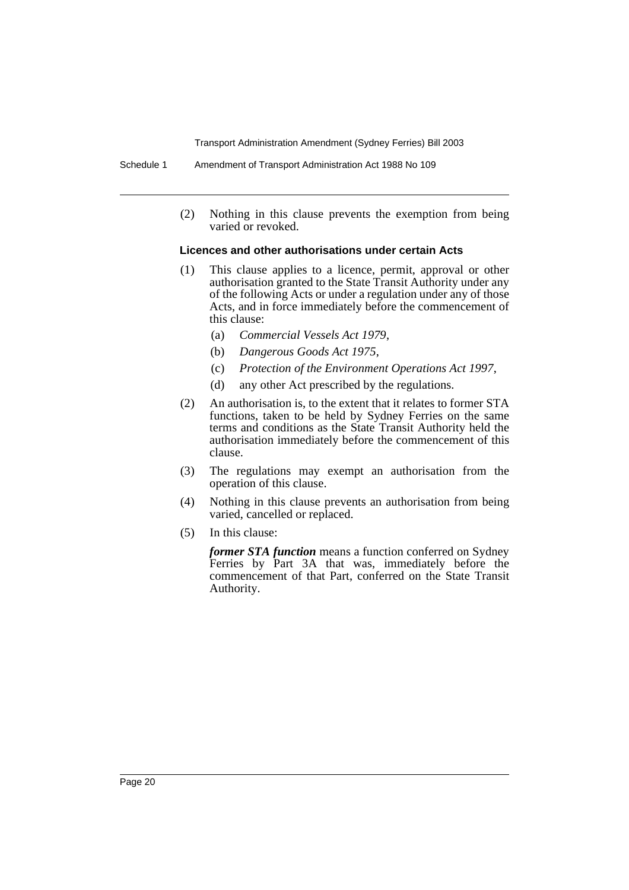Schedule 1 Amendment of Transport Administration Act 1988 No 109

(2) Nothing in this clause prevents the exemption from being varied or revoked.

#### **Licences and other authorisations under certain Acts**

- (1) This clause applies to a licence, permit, approval or other authorisation granted to the State Transit Authority under any of the following Acts or under a regulation under any of those Acts, and in force immediately before the commencement of this clause:
	- (a) *Commercial Vessels Act 1979*,
	- (b) *Dangerous Goods Act 1975*,
	- (c) *Protection of the Environment Operations Act 1997*,
	- (d) any other Act prescribed by the regulations.
- (2) An authorisation is, to the extent that it relates to former STA functions, taken to be held by Sydney Ferries on the same terms and conditions as the State Transit Authority held the authorisation immediately before the commencement of this clause.
- (3) The regulations may exempt an authorisation from the operation of this clause.
- (4) Nothing in this clause prevents an authorisation from being varied, cancelled or replaced.
- (5) In this clause:

*former STA function* means a function conferred on Sydney Ferries by Part 3A that was, immediately before the commencement of that Part, conferred on the State Transit Authority.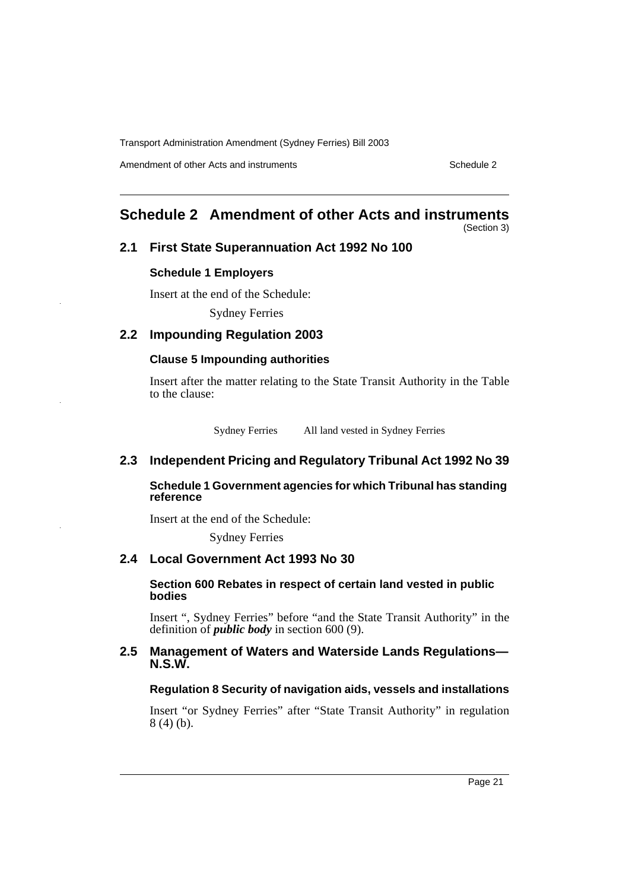Amendment of other Acts and instruments **Schedule 2** Schedule 2

## **Schedule 2 Amendment of other Acts and instruments**

(Section 3)

## **2.1 First State Superannuation Act 1992 No 100**

## **Schedule 1 Employers**

Insert at the end of the Schedule:

Sydney Ferries

## **2.2 Impounding Regulation 2003**

## **Clause 5 Impounding authorities**

Insert after the matter relating to the State Transit Authority in the Table to the clause:

Sydney Ferries All land vested in Sydney Ferries

## **2.3 Independent Pricing and Regulatory Tribunal Act 1992 No 39**

## **Schedule 1 Government agencies for which Tribunal has standing reference**

Insert at the end of the Schedule:

Sydney Ferries

## **2.4 Local Government Act 1993 No 30**

## **Section 600 Rebates in respect of certain land vested in public bodies**

Insert ", Sydney Ferries" before "and the State Transit Authority" in the definition of *public body* in section 600 (9).

## **2.5 Management of Waters and Waterside Lands Regulations— N.S.W.**

## **Regulation 8 Security of navigation aids, vessels and installations**

Insert "or Sydney Ferries" after "State Transit Authority" in regulation 8 (4) (b).